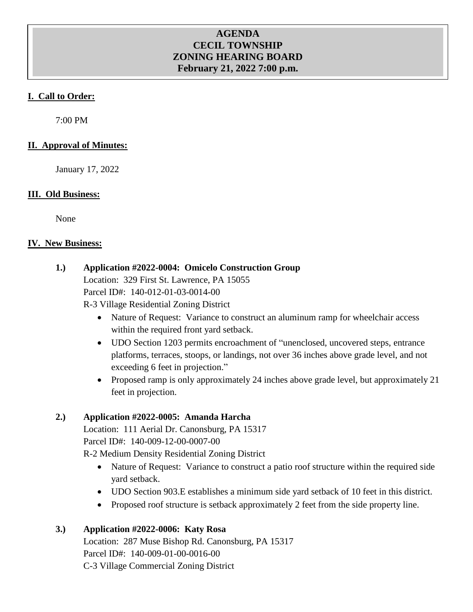### **AGENDA CECIL TOWNSHIP ZONING HEARING BOARD February 21, 2022 7:00 p.m.**

### **I. Call to Order:**

7:00 PM

### **II. Approval of Minutes:**

January 17, 2022

### **III. Old Business:**

None

#### **IV. New Business:**

### **1.) Application #2022-0004: Omicelo Construction Group**

Location: 329 First St. Lawrence, PA 15055

Parcel ID#: 140-012-01-03-0014-00

R-3 Village Residential Zoning District

- Nature of Request: Variance to construct an aluminum ramp for wheelchair access within the required front yard setback.
- UDO Section 1203 permits encroachment of "unenclosed, uncovered steps, entrance platforms, terraces, stoops, or landings, not over 36 inches above grade level, and not exceeding 6 feet in projection."
- Proposed ramp is only approximately 24 inches above grade level, but approximately 21 feet in projection.

### **2.) Application #2022-0005: Amanda Harcha**

Location: 111 Aerial Dr. Canonsburg, PA 15317 Parcel ID#: 140-009-12-00-0007-00

R-2 Medium Density Residential Zoning District

- Nature of Request: Variance to construct a patio roof structure within the required side yard setback.
- UDO Section 903.E establishes a minimum side yard setback of 10 feet in this district.
- Proposed roof structure is setback approximately 2 feet from the side property line.

### **3.) Application #2022-0006: Katy Rosa**

Location: 287 Muse Bishop Rd. Canonsburg, PA 15317 Parcel ID#: 140-009-01-00-0016-00 C-3 Village Commercial Zoning District